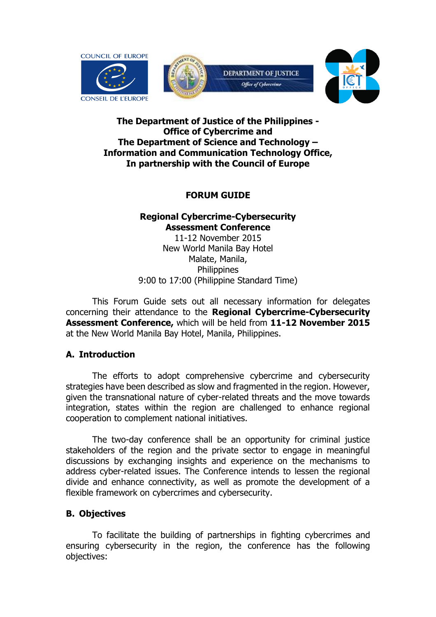

# **The Department of Justice of the Philippines - Office of Cybercrime and The Department of Science and Technology – Information and Communication Technology Office, In partnership with the Council of Europe**

# **FORUM GUIDE**

# **Regional Cybercrime-Cybersecurity Assessment Conference**

11-12 November 2015 New World Manila Bay Hotel Malate, Manila, **Philippines** 9:00 to 17:00 (Philippine Standard Time)

This Forum Guide sets out all necessary information for delegates concerning their attendance to the **Regional Cybercrime-Cybersecurity Assessment Conference,** which will be held from **11-12 November 2015** at the New World Manila Bay Hotel, Manila, Philippines.

# **A. Introduction**

The efforts to adopt comprehensive cybercrime and cybersecurity strategies have been described as slow and fragmented in the region. However, given the transnational nature of cyber-related threats and the move towards integration, states within the region are challenged to enhance regional cooperation to complement national initiatives.

The two-day conference shall be an opportunity for criminal justice stakeholders of the region and the private sector to engage in meaningful discussions by exchanging insights and experience on the mechanisms to address cyber-related issues. The Conference intends to lessen the regional divide and enhance connectivity, as well as promote the development of a flexible framework on cybercrimes and cybersecurity.

# **B. Objectives**

To facilitate the building of partnerships in fighting cybercrimes and ensuring cybersecurity in the region, the conference has the following objectives: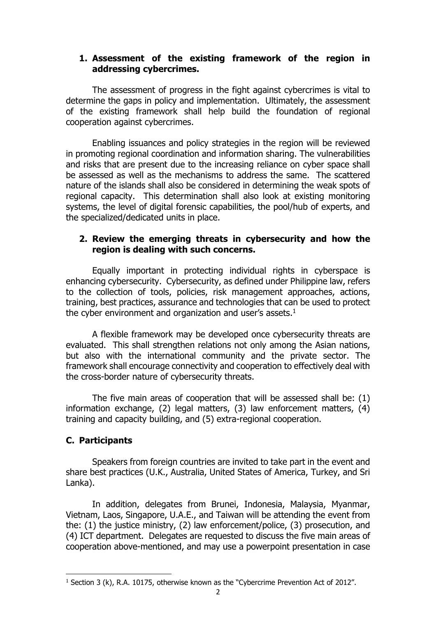## **1. Assessment of the existing framework of the region in addressing cybercrimes.**

The assessment of progress in the fight against cybercrimes is vital to determine the gaps in policy and implementation. Ultimately, the assessment of the existing framework shall help build the foundation of regional cooperation against cybercrimes.

Enabling issuances and policy strategies in the region will be reviewed in promoting regional coordination and information sharing. The vulnerabilities and risks that are present due to the increasing reliance on cyber space shall be assessed as well as the mechanisms to address the same. The scattered nature of the islands shall also be considered in determining the weak spots of regional capacity. This determination shall also look at existing monitoring systems, the level of digital forensic capabilities, the pool/hub of experts, and the specialized/dedicated units in place.

# **2. Review the emerging threats in cybersecurity and how the region is dealing with such concerns.**

Equally important in protecting individual rights in cyberspace is enhancing cybersecurity. Cybersecurity, as defined under Philippine law, refers to the collection of tools, policies, risk management approaches, actions, training, best practices, assurance and technologies that can be used to protect the cyber environment and organization and user's assets.<sup>1</sup>

A flexible framework may be developed once cybersecurity threats are evaluated. This shall strengthen relations not only among the Asian nations, but also with the international community and the private sector. The framework shall encourage connectivity and cooperation to effectively deal with the cross-border nature of cybersecurity threats.

The five main areas of cooperation that will be assessed shall be: (1) information exchange, (2) legal matters, (3) law enforcement matters, (4) training and capacity building, and (5) extra-regional cooperation.

# **C. Participants**

 $\overline{a}$ 

Speakers from foreign countries are invited to take part in the event and share best practices (U.K., Australia, United States of America, Turkey, and Sri Lanka).

In addition, delegates from Brunei, Indonesia, Malaysia, Myanmar, Vietnam, Laos, Singapore, U.A.E., and Taiwan will be attending the event from the: (1) the justice ministry, (2) law enforcement/police, (3) prosecution, and (4) ICT department. Delegates are requested to discuss the five main areas of cooperation above-mentioned, and may use a powerpoint presentation in case

<sup>&</sup>lt;sup>1</sup> Section 3 (k), R.A. 10175, otherwise known as the "Cybercrime Prevention Act of 2012".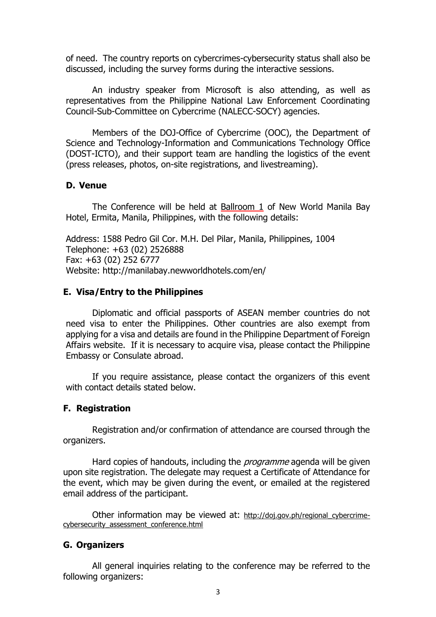of need. The country reports on cybercrimes-cybersecurity status shall also be discussed, including the survey forms during the interactive sessions.

An industry speaker from Microsoft is also attending, as well as representatives from the Philippine National Law Enforcement Coordinating Council-Sub-Committee on Cybercrime (NALECC-SOCY) agencies.

Members of the DOJ-Office of Cybercrime (OOC), the Department of Science and Technology-Information and Communications Technology Office (DOST-ICTO), and their support team are handling the logistics of the event (press releases, photos, on-site registrations, and livestreaming).

#### **D. Venue**

The Conference will be held at Ballroom 1 of New World Manila Bay Hotel, Ermita, Manila, Philippines, with the following details:

Address: 1588 Pedro Gil Cor. M.H. Del Pilar, Manila, Philippines, 1004 Telephone: +63 (02) 2526888 Fax: +63 (02) 252 6777 Website: <http://manilabay.newworldhotels.com/en/>

### **E. Visa/Entry to the Philippines**

Diplomatic and official passports of ASEAN member countries do not need visa to enter the Philippines. Other countries are also exempt from applying for a visa and details are found in the Philippine Department of Foreign Affairs website. If it is necessary to acquire visa, please contact the Philippine Embassy or Consulate abroad.

If you require assistance, please contact the organizers of this event with contact details stated below.

#### **F. Registration**

Registration and/or confirmation of attendance are coursed through the organizers.

Hard copies of handouts, including the *programme* agenda will be given upon site registration. The delegate may request a Certificate of Attendance for the event, which may be given during the event, or emailed at the registered email address of the participant.

Other information may be viewed at: http://doj.gov.ph/regional cybercrimecybersecurity\_assessment\_conference.html

### **G. Organizers**

All general inquiries relating to the conference may be referred to the following organizers: